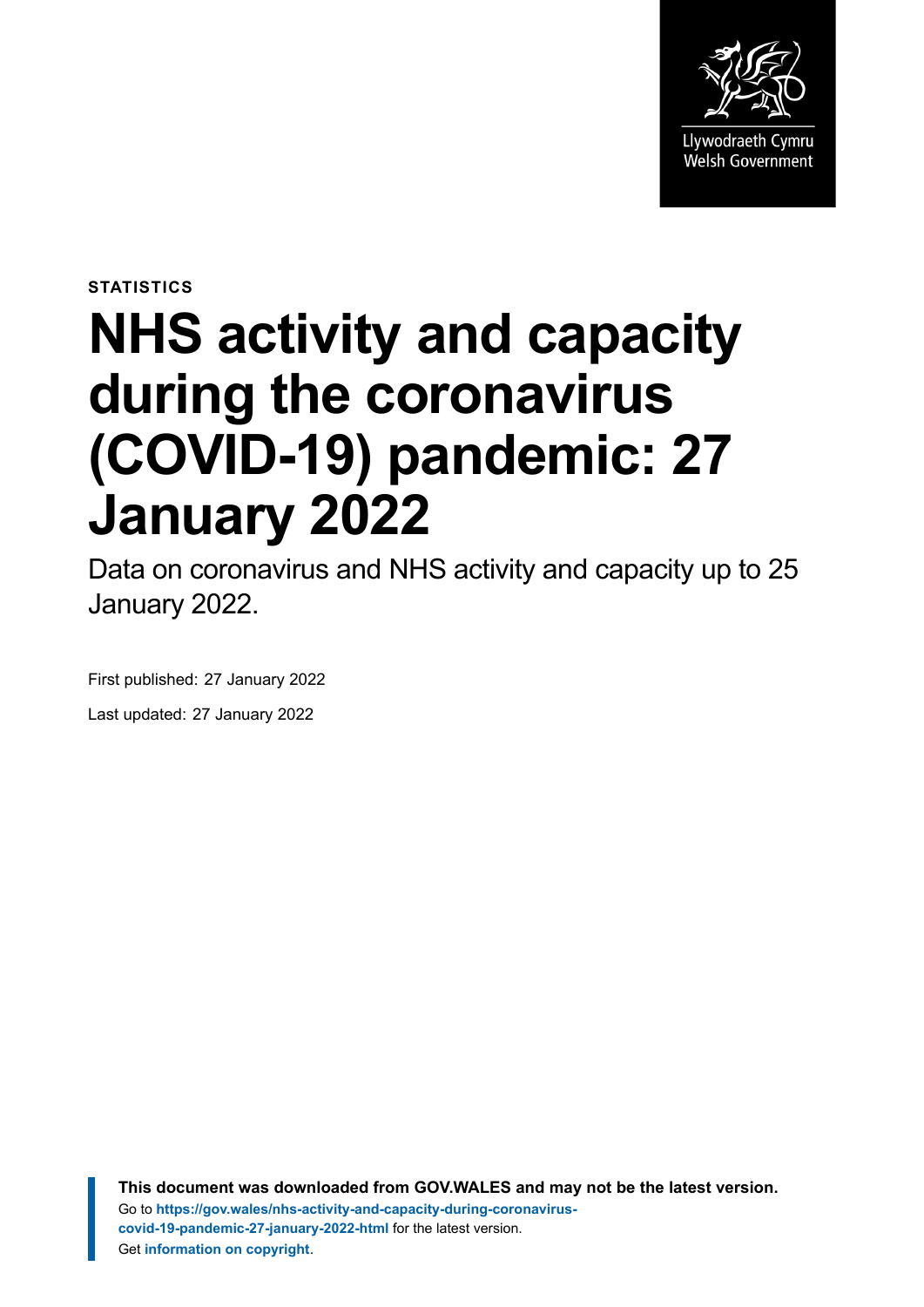

**STATISTICS**

# **NHS activity and capacity during the coronavirus (COVID-19) pandemic: 27 January 2022**

Data on coronavirus and NHS activity and capacity up to 25 January 2022.

First published: 27 January 2022 Last updated: 27 January 2022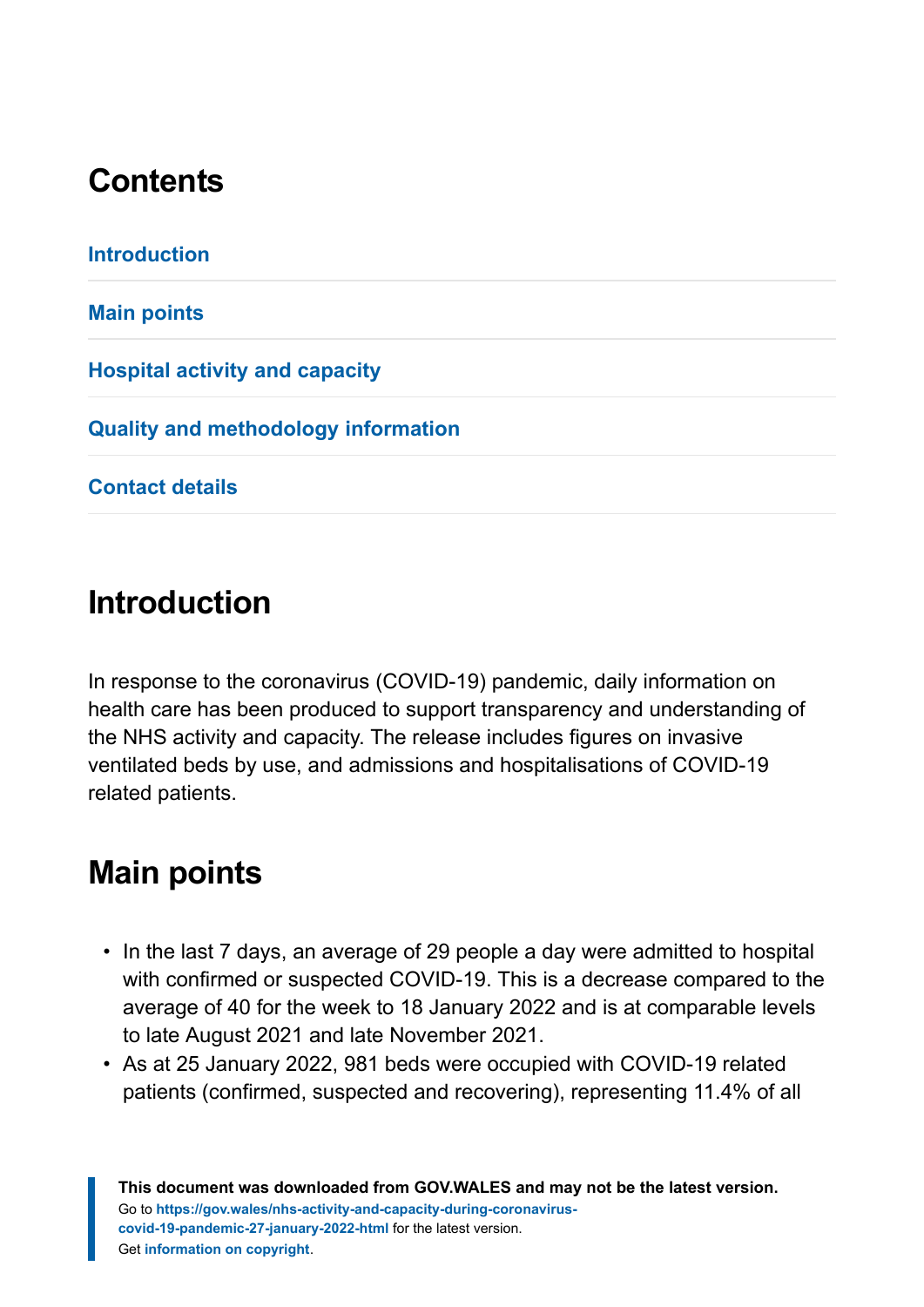# **Contents**

# <span id="page-1-0"></span>**Introduction**

In response to the coronavirus (COVID-19) pandemic, daily information on health care has been produced to support transparency and understanding of the NHS activity and capacity. The release includes figures on invasive ventilated beds by use, and admissions and hospitalisations of COVID-19 related patients.

# <span id="page-1-1"></span>**Main points**

- In the last 7 days, an average of 29 people a day were admitted to hospital with confirmed or suspected COVID-19. This is a decrease compared to the average of 40 for the week to 18 January 2022 and is at comparable levels to late August 2021 and late November 2021.
- As at 25 January 2022, 981 beds were occupied with COVID-19 related patients (confirmed, suspected and recovering), representing 11.4% of all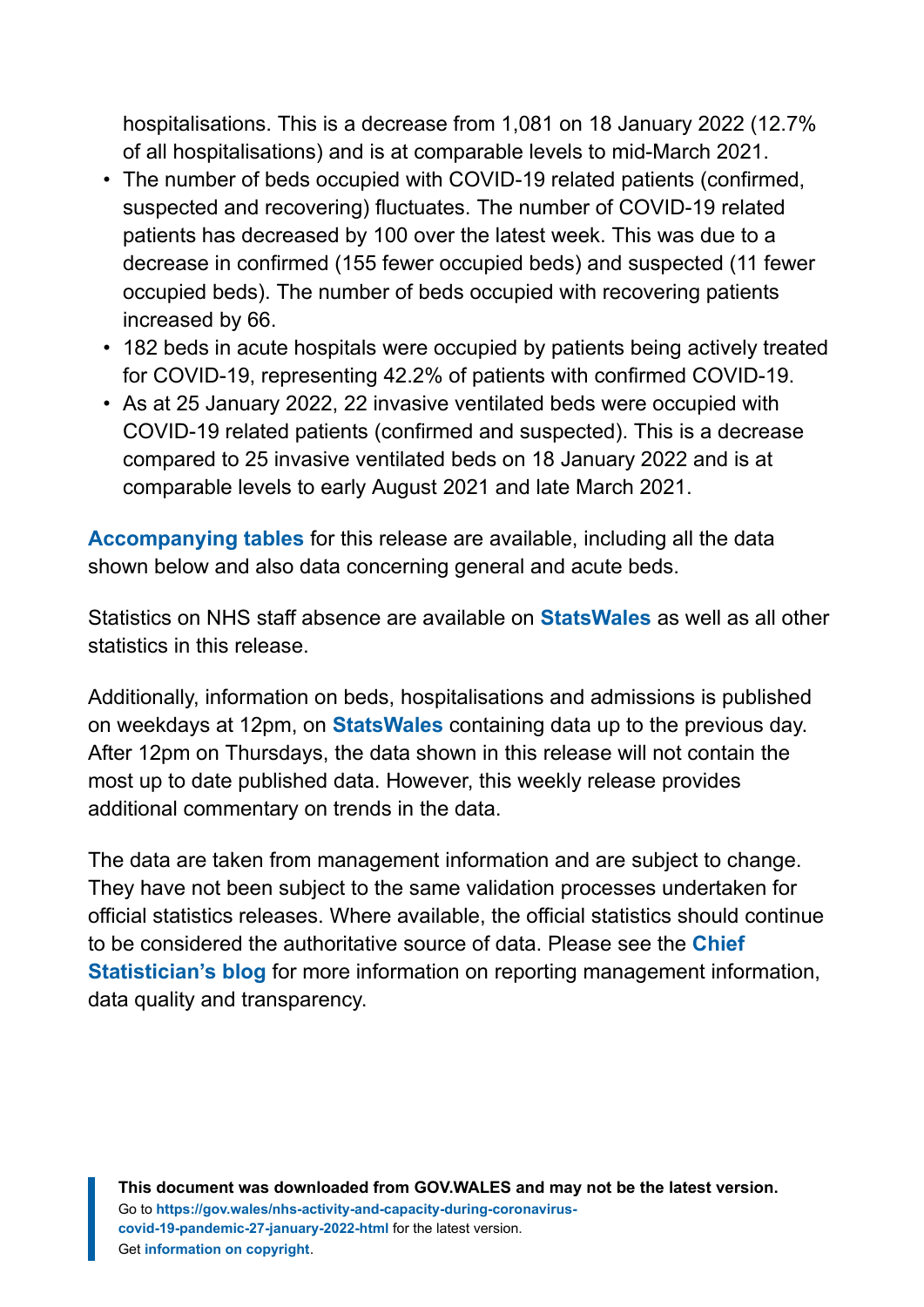hospitalisations. This is a decrease from 1,081 on 18 January 2022 (12.7% of all hospitalisations) and is at comparable levels to mid-March 2021.

- The number of beds occupied with COVID-19 related patients (confirmed, suspected and recovering) fluctuates. The number of COVID-19 related patients has decreased by 100 over the latest week. This was due to a decrease in confirmed (155 fewer occupied beds) and suspected (11 fewer occupied beds). The number of beds occupied with recovering patients increased by 66.
- 182 beds in acute hospitals were occupied by patients being actively treated for COVID-19, representing 42.2% of patients with confirmed COVID-19.
- As at 25 January 2022, 22 invasive ventilated beds were occupied with COVID-19 related patients (confirmed and suspected). This is a decrease compared to 25 invasive ventilated beds on 18 January 2022 and is at comparable levels to early August 2021 and late March 2021.

**[Accompanying tables](https://gov.wales/nhs-activity-and-capacity-during-coronavirus-covid-19-pandemic-27-january-2022)** for this release are available, including all the data shown below and also data concerning general and acute beds.

Statistics on NHS staff absence are available on **[StatsWales](https://statswales.gov.wales/Catalogue/Health-and-Social-Care/NHS-Hospital-Activity/nhs-activity-and-capacity-during-the-coronavirus-pandemic)** as well as all other statistics in this release.

Additionally, information on beds, hospitalisations and admissions is published on weekdays at 12pm, on **[StatsWales](https://statswales.gov.wales/Catalogue/Health-and-Social-Care/NHS-Hospital-Activity/nhs-activity-and-capacity-during-the-coronavirus-pandemic)** containing data up to the previous day. After 12pm on Thursdays, the data shown in this release will not contain the most up to date published data. However, this weekly release provides additional commentary on trends in the data.

The data are taken from management information and are subject to change. They have not been subject to the same validation processes undertaken for official statistics releases. Where available, the official statistics should continue to be considered the authoritative source of data. Please see the **[Chief](https://digitalanddata.blog.gov.wales/2020/06/04/chief-statisticians-update-measuring-people-in-hospital-and-some-thoughts-on-data-quality/) [Statistician's blog](https://digitalanddata.blog.gov.wales/2020/06/04/chief-statisticians-update-measuring-people-in-hospital-and-some-thoughts-on-data-quality/)** for more information on reporting management information, data quality and transparency.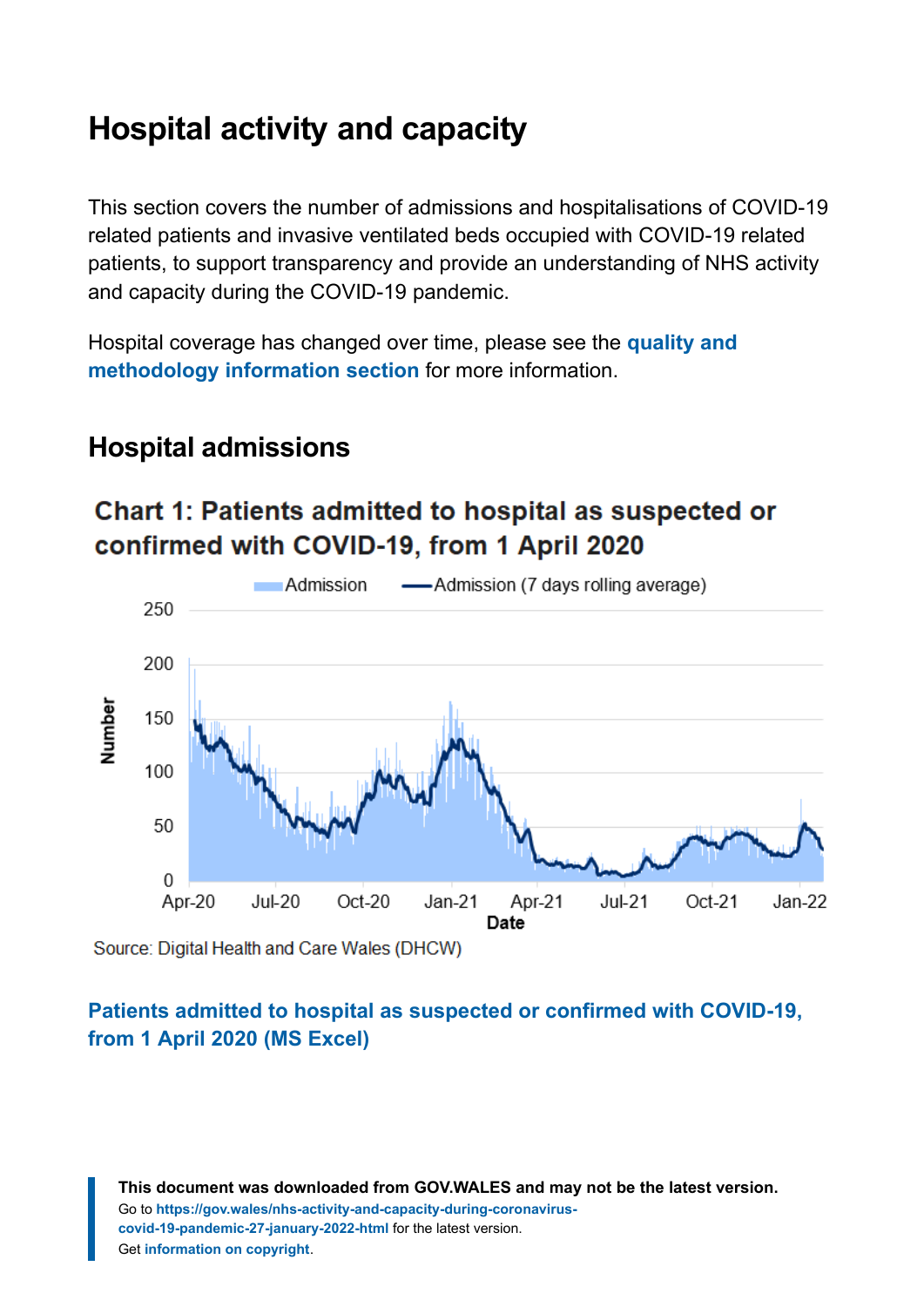# <span id="page-3-0"></span>**Hospital activity and capacity**

This section covers the number of admissions and hospitalisations of COVID-19 related patients and invasive ventilated beds occupied with COVID-19 related patients, to support transparency and provide an understanding of NHS activity and capacity during the COVID-19 pandemic.

Hospital coverage has changed over time, please see the **[quality and](#page-10-0) [methodology information section](#page-10-0)** for more information.

### **Hospital admissions**

### **Chart 1: Patients admitted to hospital as suspected or** confirmed with COVID-19, from 1 April 2020



Source: Digital Health and Care Wales (DHCW)

#### **[Patients admitted to hospital as suspected or confirmed with COVID-19,](https://gov.wales/sites/default/files/statistics-and-research/2022-01/nhs-activity-and-capacity-during-the-coronavirus-covid-19-pandemic-27-january-2022-121.ods) [from 1 April 2020 \(MS Excel\)](https://gov.wales/sites/default/files/statistics-and-research/2022-01/nhs-activity-and-capacity-during-the-coronavirus-covid-19-pandemic-27-january-2022-121.ods)**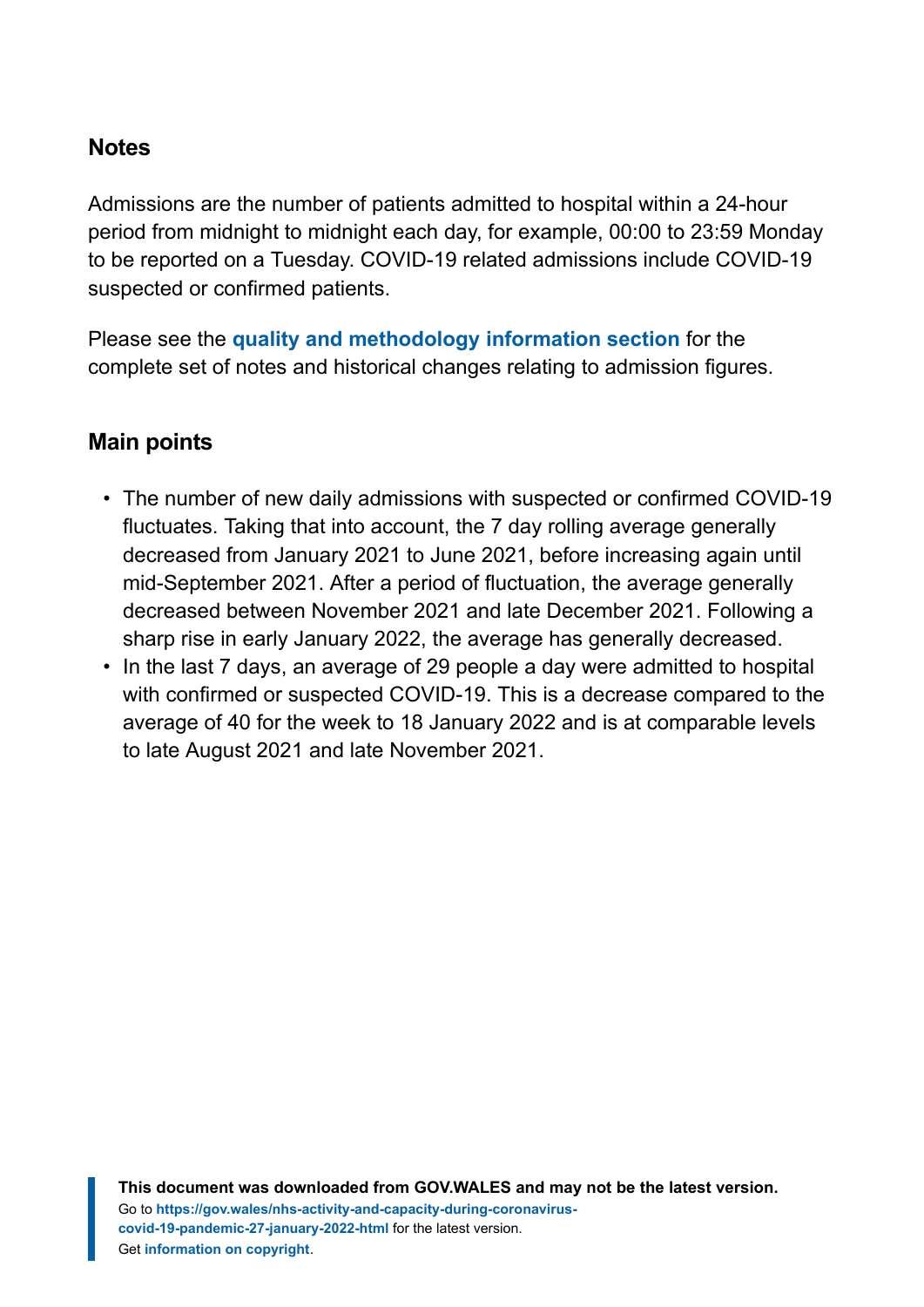#### **Notes**

Admissions are the number of patients admitted to hospital within a 24-hour period from midnight to midnight each day, for example, 00:00 to 23:59 Monday to be reported on a Tuesday. COVID-19 related admissions include COVID-19 suspected or confirmed patients.

Please see the **[quality and methodology information section](#page-10-0)** for the complete set of notes and historical changes relating to admission figures.

#### **Main points**

- The number of new daily admissions with suspected or confirmed COVID-19 fluctuates. Taking that into account, the 7 day rolling average generally decreased from January 2021 to June 2021, before increasing again until mid-September 2021. After a period of fluctuation, the average generally decreased between November 2021 and late December 2021. Following a sharp rise in early January 2022, the average has generally decreased.
- In the last 7 days, an average of 29 people a day were admitted to hospital with confirmed or suspected COVID-19. This is a decrease compared to the average of 40 for the week to 18 January 2022 and is at comparable levels to late August 2021 and late November 2021.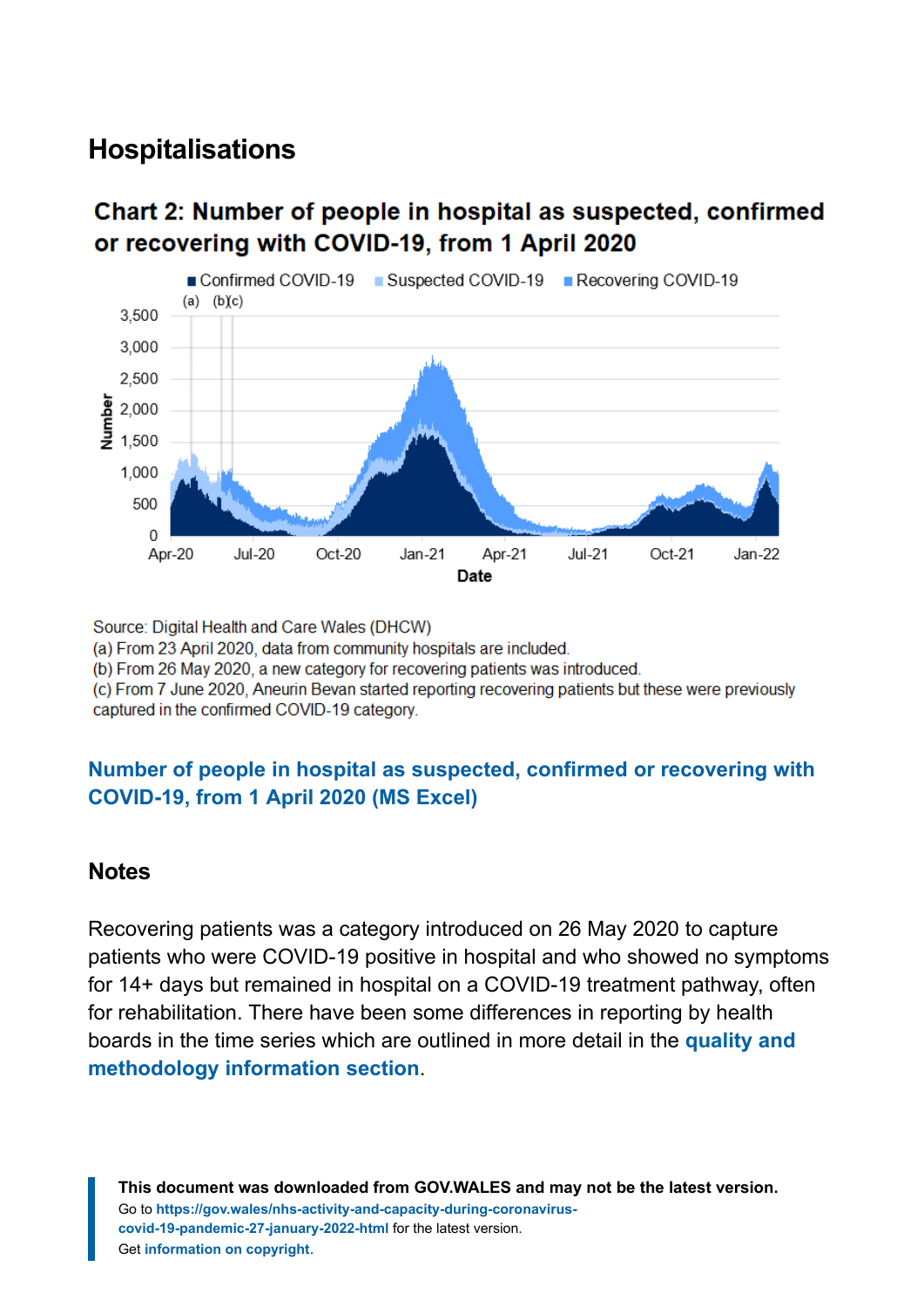### **Hospitalisations**

#### Chart 2: Number of people in hospital as suspected, confirmed or recovering with COVID-19, from 1 April 2020



Source: Digital Health and Care Wales (DHCW)

(a) From 23 April 2020, data from community hospitals are included.

(b) From 26 May 2020, a new category for recovering patients was introduced.

(c) From 7 June 2020, Aneurin Bevan started reporting recovering patients but these were previously captured in the confirmed COVID-19 category.

#### **[Number of people in hospital as suspected, confirmed or recovering with](https://gov.wales/sites/default/files/statistics-and-research/2022-01/nhs-activity-and-capacity-during-the-coronavirus-covid-19-pandemic-27-january-2022-121.ods) [COVID-19, from 1 April 2020 \(MS Excel\)](https://gov.wales/sites/default/files/statistics-and-research/2022-01/nhs-activity-and-capacity-during-the-coronavirus-covid-19-pandemic-27-january-2022-121.ods)**

#### **Notes**

Recovering patients was a category introduced on 26 May 2020 to capture patients who were COVID-19 positive in hospital and who showed no symptoms for 14+ days but remained in hospital on a COVID-19 treatment pathway, often for rehabilitation. There have been some differences in reporting by health boards in the time series which are outlined in more detail in the **[quality and](#page-10-0) [methodology information section](#page-10-0)**.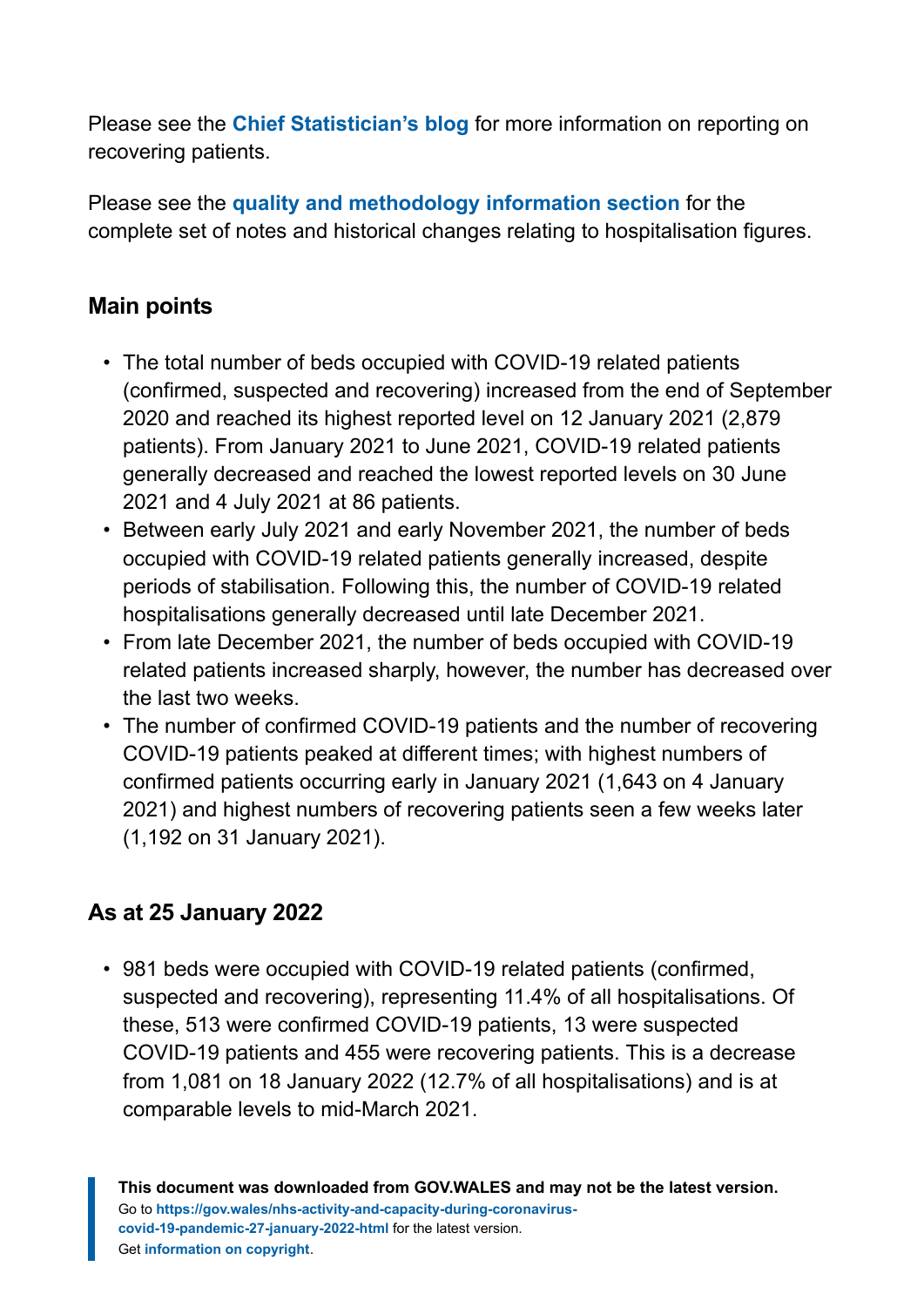Please see the **[Chief Statistician's blog](https://digitalanddata.blog.gov.wales/2020/06/04/chief-statisticians-update-measuring-people-in-hospital-and-some-thoughts-on-data-quality/)** for more information on reporting on recovering patients.

Please see the **[quality and methodology information section](#page-10-0)** for the complete set of notes and historical changes relating to hospitalisation figures.

#### **Main points**

- The total number of beds occupied with COVID-19 related patients (confirmed, suspected and recovering) increased from the end of September 2020 and reached its highest reported level on 12 January 2021 (2,879 patients). From January 2021 to June 2021, COVID-19 related patients generally decreased and reached the lowest reported levels on 30 June 2021 and 4 July 2021 at 86 patients.
- Between early July 2021 and early November 2021, the number of beds occupied with COVID-19 related patients generally increased, despite periods of stabilisation. Following this, the number of COVID-19 related hospitalisations generally decreased until late December 2021.
- From late December 2021, the number of beds occupied with COVID-19 related patients increased sharply, however, the number has decreased over the last two weeks.
- The number of confirmed COVID-19 patients and the number of recovering COVID-19 patients peaked at different times; with highest numbers of confirmed patients occurring early in January 2021 (1,643 on 4 January 2021) and highest numbers of recovering patients seen a few weeks later (1,192 on 31 January 2021).

#### **As at 25 January 2022**

• 981 beds were occupied with COVID-19 related patients (confirmed, suspected and recovering), representing 11.4% of all hospitalisations. Of these, 513 were confirmed COVID-19 patients, 13 were suspected COVID-19 patients and 455 were recovering patients. This is a decrease from 1,081 on 18 January 2022 (12.7% of all hospitalisations) and is at comparable levels to mid-March 2021.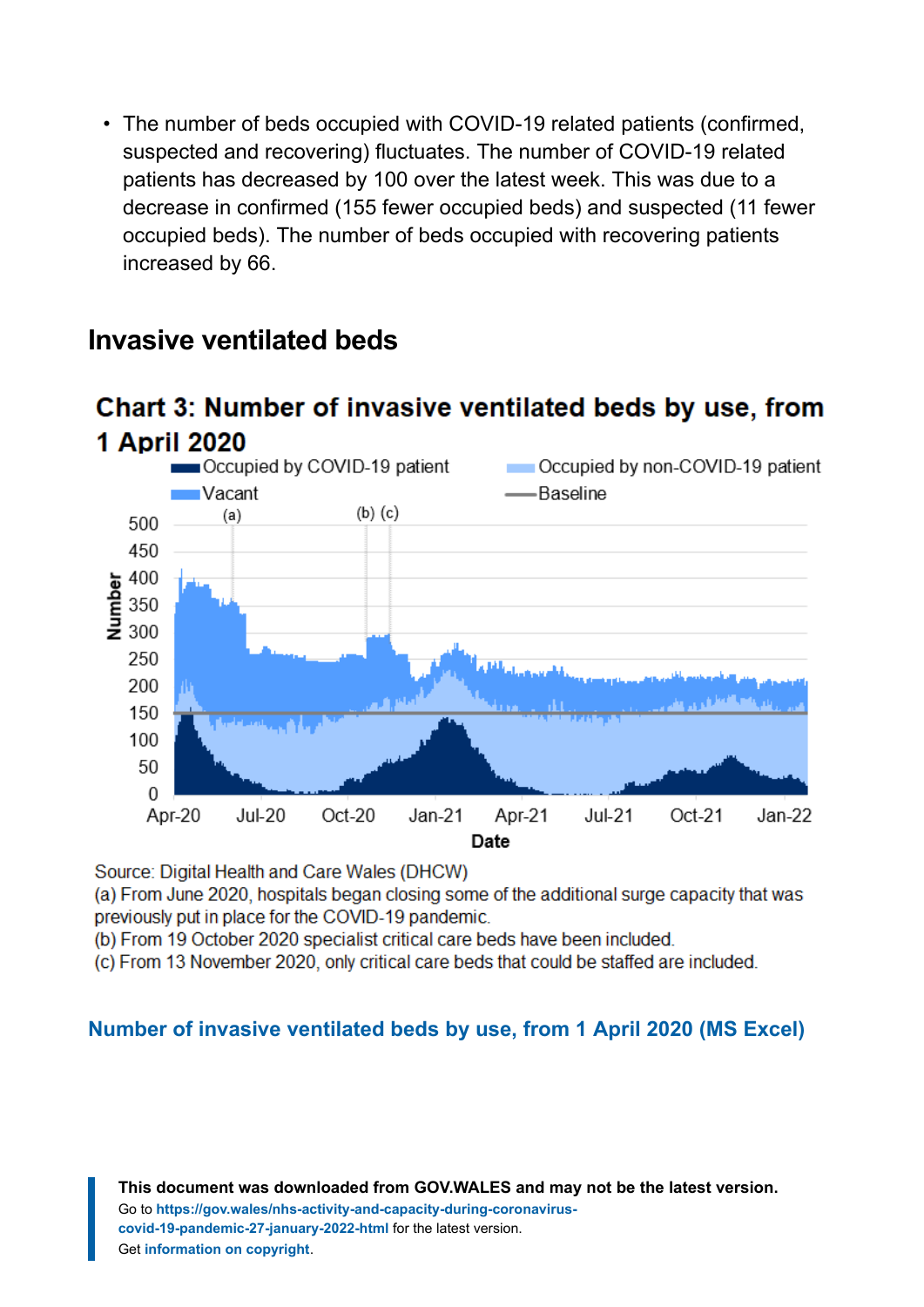• The number of beds occupied with COVID-19 related patients (confirmed, suspected and recovering) fluctuates. The number of COVID-19 related patients has decreased by 100 over the latest week. This was due to a decrease in confirmed (155 fewer occupied beds) and suspected (11 fewer occupied beds). The number of beds occupied with recovering patients increased by 66.

Chart 3: Number of invasive ventilated beds by use, from



#### **Invasive ventilated beds**

Source: Digital Health and Care Wales (DHCW)

(a) From June 2020, hospitals began closing some of the additional surge capacity that was previously put in place for the COVID-19 pandemic.

(b) From 19 October 2020 specialist critical care beds have been included.

(c) From 13 November 2020, only critical care beds that could be staffed are included.

#### **[Number of invasive ventilated beds by use, from 1 April 2020](https://gov.wales/sites/default/files/statistics-and-research/2022-01/nhs-activity-and-capacity-during-the-coronavirus-covid-19-pandemic-27-january-2022-121.ods) (MS Excel)**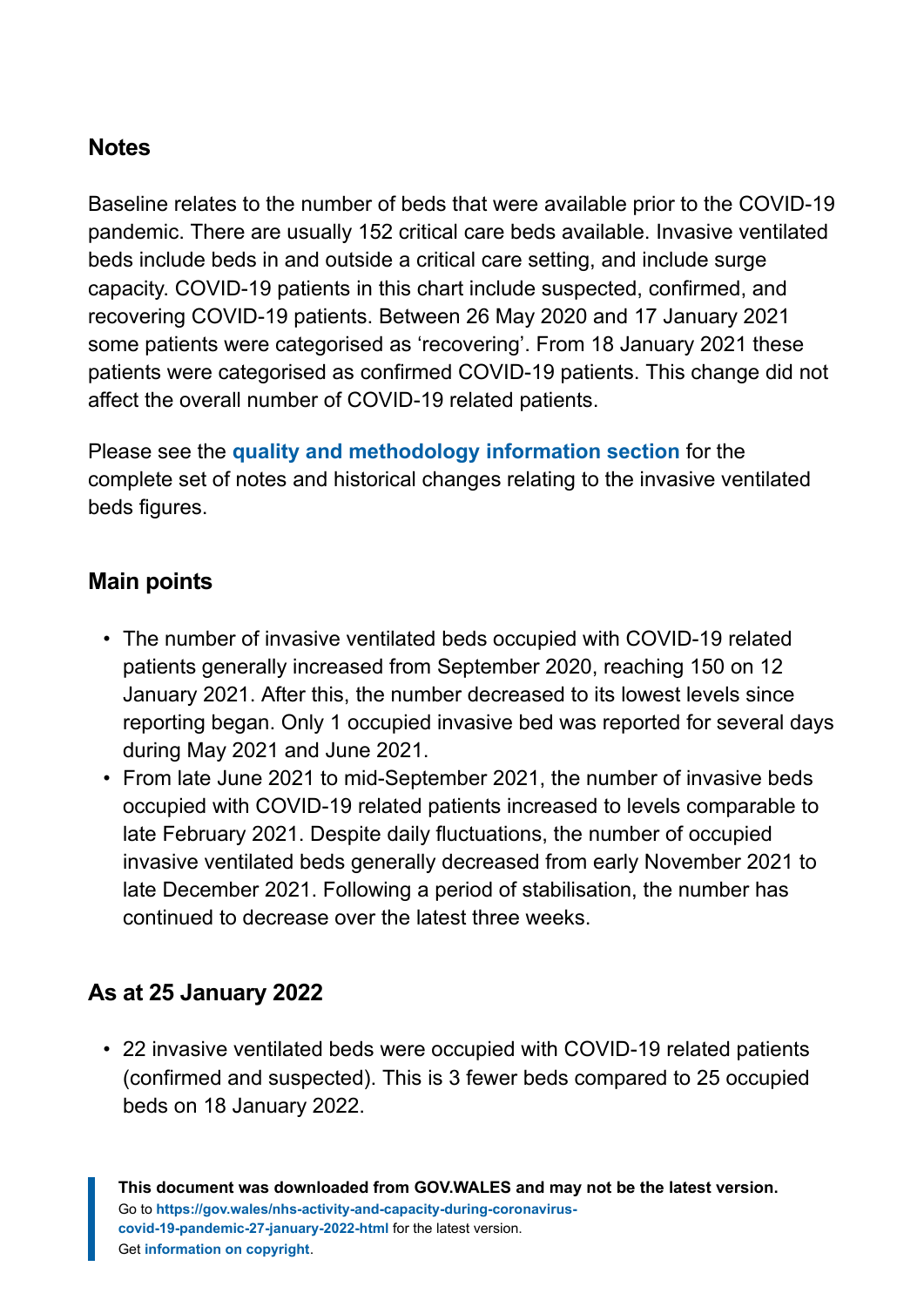#### **Notes**

Baseline relates to the number of beds that were available prior to the COVID-19 pandemic. There are usually 152 critical care beds available. Invasive ventilated beds include beds in and outside a critical care setting, and include surge capacity. COVID-19 patients in this chart include suspected, confirmed, and recovering COVID-19 patients. Between 26 May 2020 and 17 January 2021 some patients were categorised as 'recovering'. From 18 January 2021 these patients were categorised as confirmed COVID-19 patients. This change did not affect the overall number of COVID-19 related patients.

Please see the **[quality and methodology information section](#page-10-0)** for the complete set of notes and historical changes relating to the invasive ventilated beds figures.

#### **Main points**

- The number of invasive ventilated beds occupied with COVID-19 related patients generally increased from September 2020, reaching 150 on 12 January 2021. After this, the number decreased to its lowest levels since reporting began. Only 1 occupied invasive bed was reported for several days during May 2021 and June 2021.
- From late June 2021 to mid-September 2021, the number of invasive beds occupied with COVID-19 related patients increased to levels comparable to late February 2021. Despite daily fluctuations, the number of occupied invasive ventilated beds generally decreased from early November 2021 to late December 2021. Following a period of stabilisation, the number has continued to decrease over the latest three weeks.

#### **As at 25 January 2022**

• 22 invasive ventilated beds were occupied with COVID-19 related patients (confirmed and suspected). This is 3 fewer beds compared to 25 occupied beds on 18 January 2022.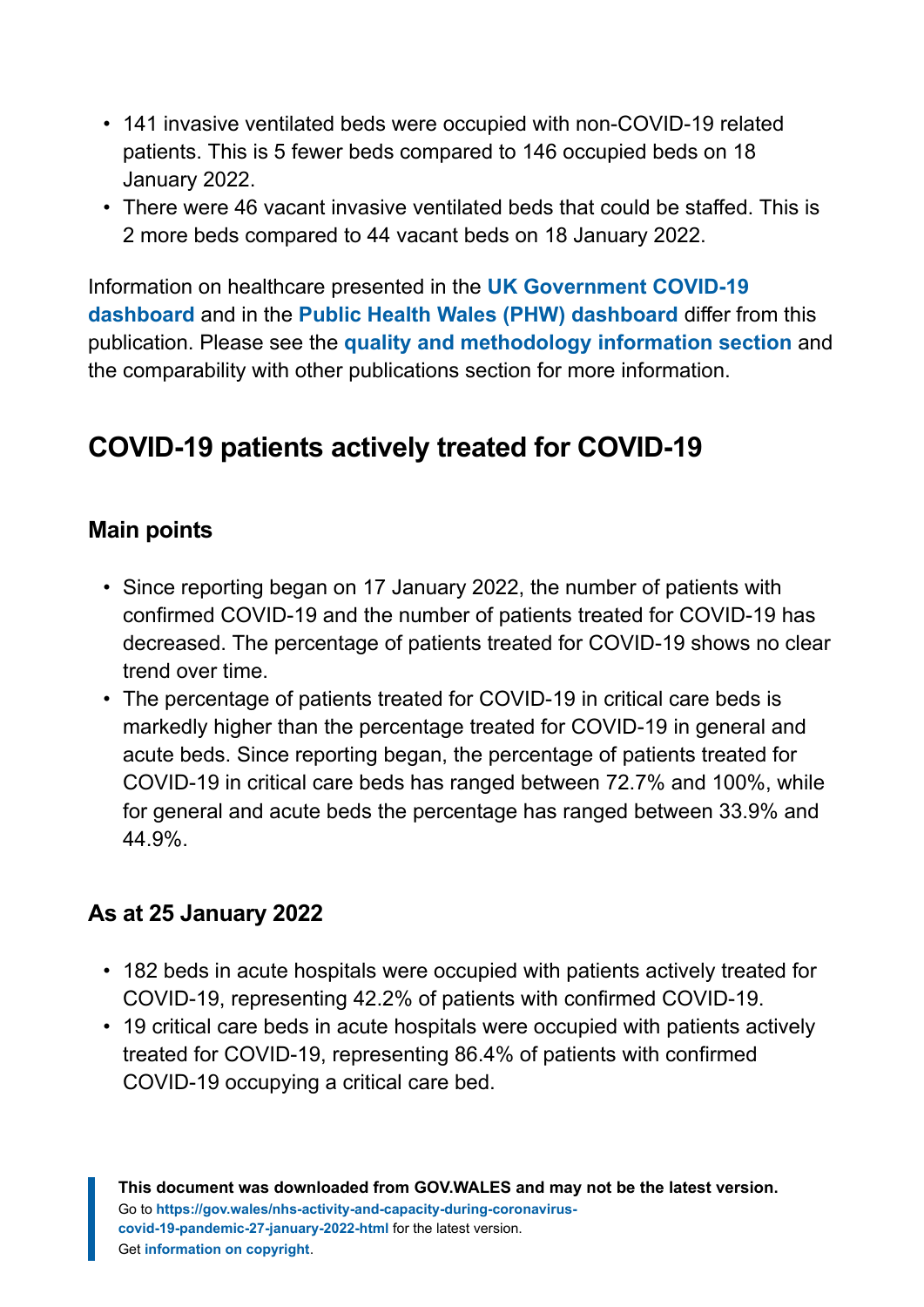- 141 invasive ventilated beds were occupied with non-COVID-19 related patients. This is 5 fewer beds compared to 146 occupied beds on 18 January 2022.
- There were 46 vacant invasive ventilated beds that could be staffed. This is 2 more beds compared to 44 vacant beds on 18 January 2022.

Information on healthcare presented in the **[UK Government COVID-19](https://coronavirus.data.gov.uk/) [dashboard](https://coronavirus.data.gov.uk/)** and in the **[Public Health Wales \(PHW\) dashboard](https://public.tableau.com/profile/public.health.wales.health.protection#!/vizhome/RapidCOVID-19virology-Public/Headlinesummary)** differ from this publication. Please see the **[quality and methodology information section](#page-10-0)** and the comparability with other publications section for more information.

# **COVID-19 patients actively treated for COVID-19**

#### **Main points**

- Since reporting began on 17 January 2022, the number of patients with confirmed COVID-19 and the number of patients treated for COVID-19 has decreased. The percentage of patients treated for COVID-19 shows no clear trend over time.
- The percentage of patients treated for COVID-19 in critical care beds is markedly higher than the percentage treated for COVID-19 in general and acute beds. Since reporting began, the percentage of patients treated for COVID-19 in critical care beds has ranged between 72.7% and 100%, while for general and acute beds the percentage has ranged between 33.9% and 44.9%.

#### **As at 25 January 2022**

- 182 beds in acute hospitals were occupied with patients actively treated for COVID-19, representing 42.2% of patients with confirmed COVID-19.
- 19 critical care beds in acute hospitals were occupied with patients actively treated for COVID-19, representing 86.4% of patients with confirmed COVID-19 occupying a critical care bed.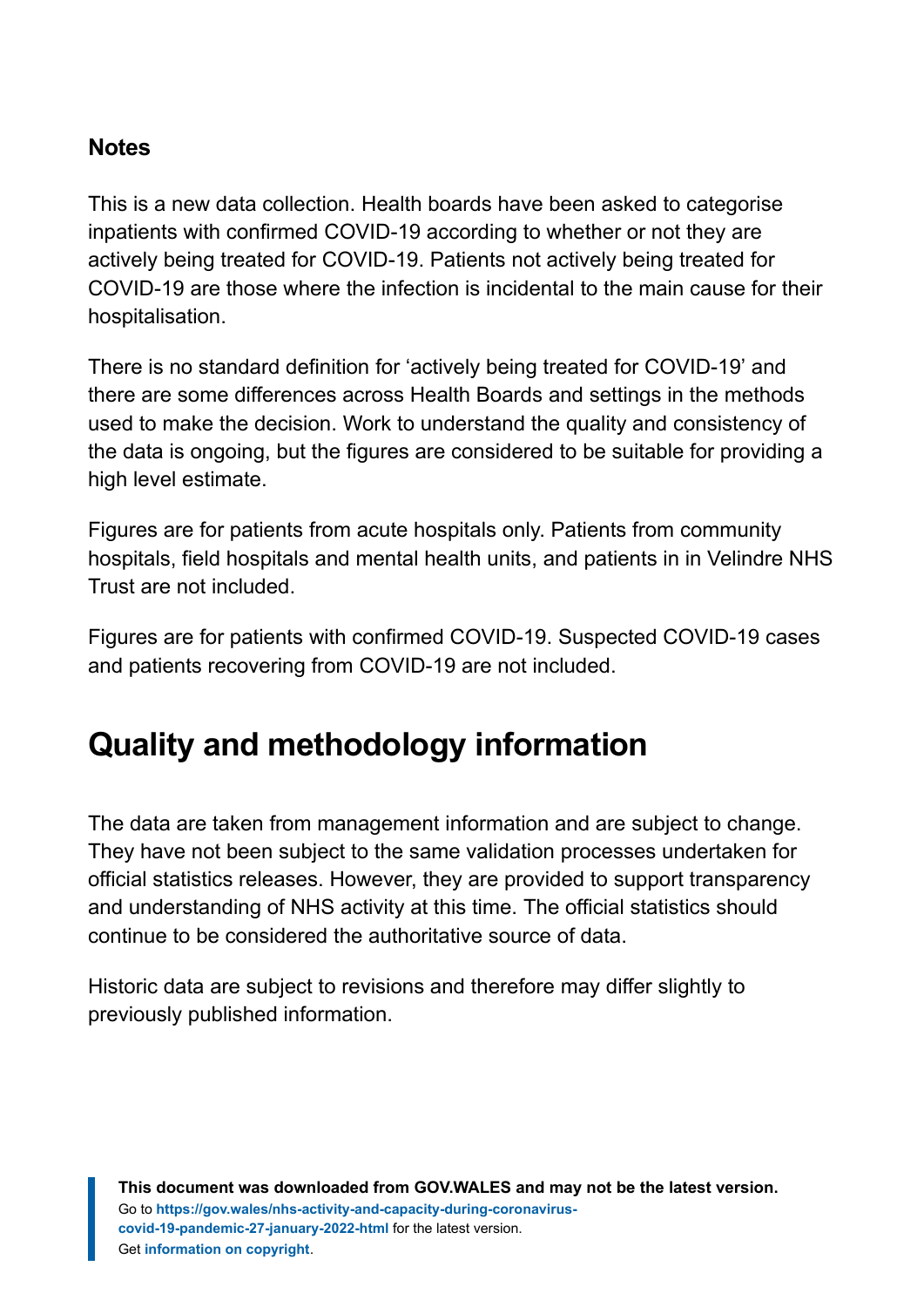#### **Notes**

This is a new data collection. Health boards have been asked to categorise inpatients with confirmed COVID-19 according to whether or not they are actively being treated for COVID-19. Patients not actively being treated for COVID-19 are those where the infection is incidental to the main cause for their hospitalisation.

There is no standard definition for 'actively being treated for COVID-19' and there are some differences across Health Boards and settings in the methods used to make the decision. Work to understand the quality and consistency of the data is ongoing, but the figures are considered to be suitable for providing a high level estimate.

Figures are for patients from acute hospitals only. Patients from community hospitals, field hospitals and mental health units, and patients in in Velindre NHS Trust are not included.

Figures are for patients with confirmed COVID-19. Suspected COVID-19 cases and patients recovering from COVID-19 are not included.

# <span id="page-10-0"></span>**Quality and methodology information**

The data are taken from management information and are subject to change. They have not been subject to the same validation processes undertaken for official statistics releases. However, they are provided to support transparency and understanding of NHS activity at this time. The official statistics should continue to be considered the authoritative source of data.

Historic data are subject to revisions and therefore may differ slightly to previously published information.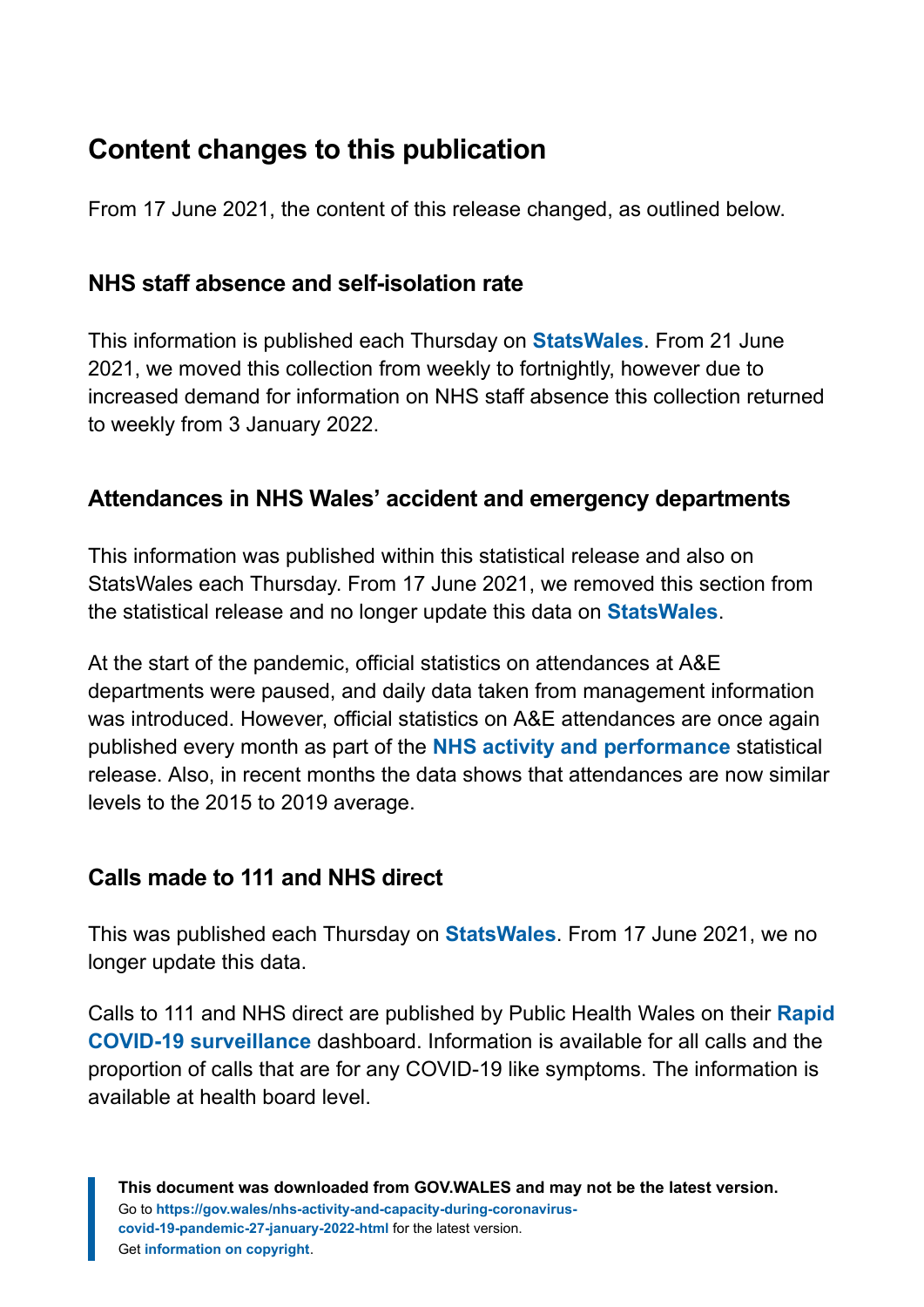# **Content changes to this publication**

From 17 June 2021, the content of this release changed, as outlined below.

#### **NHS staff absence and self-isolation rate**

This information is published each Thursday on **[StatsWales](https://statswales.gov.wales/Catalogue/Health-and-Social-Care/NHS-Hospital-Activity/nhs-activity-and-capacity-during-the-coronavirus-pandemic)**. From 21 June 2021, we moved this collection from weekly to fortnightly, however due to increased demand for information on NHS staff absence this collection returned to weekly from 3 January 2022.

#### **Attendances in NHS Wales' accident and emergency departments**

This information was published within this statistical release and also on StatsWales each Thursday. From 17 June 2021, we removed this section from the statistical release and no longer update this data on **[StatsWales](https://statswales.gov.wales/Catalogue/Health-and-Social-Care/NHS-Hospital-Activity/nhs-activity-and-capacity-during-the-coronavirus-pandemic/accidentandemergencydepartmentsattendances-by-date-localhealthboard)**.

At the start of the pandemic, official statistics on attendances at A&E departments were paused, and daily data taken from management information was introduced. However, official statistics on A&E attendances are once again published every month as part of the **[NHS activity and performance](https://gov.wales/nhs-activity-and-performance-summary)** statistical release. Also, in recent months the data shows that attendances are now similar levels to the 2015 to 2019 average.

#### **Calls made to 111 and NHS direct**

This was published each Thursday on **[StatsWales](https://statswales.gov.wales/Catalogue/Health-and-Social-Care/NHS-Hospital-Activity/nhs-activity-and-capacity-during-the-coronavirus-pandemic/numberof111andnhsdirectcalls-by-date)**. From 17 June 2021, we no longer update this data.

Calls to 111 and NHS direct are published by Public Health Wales on their **[Rapid](https://public.tableau.com/profile/public.health.wales.health.protection#!/vizhome/RapidCOVID-19virology-Public/Headlinesummary) [COVID-19 surveillance](https://public.tableau.com/profile/public.health.wales.health.protection#!/vizhome/RapidCOVID-19virology-Public/Headlinesummary)** dashboard. Information is available for all calls and the proportion of calls that are for any COVID-19 like symptoms. The information is available at health board level.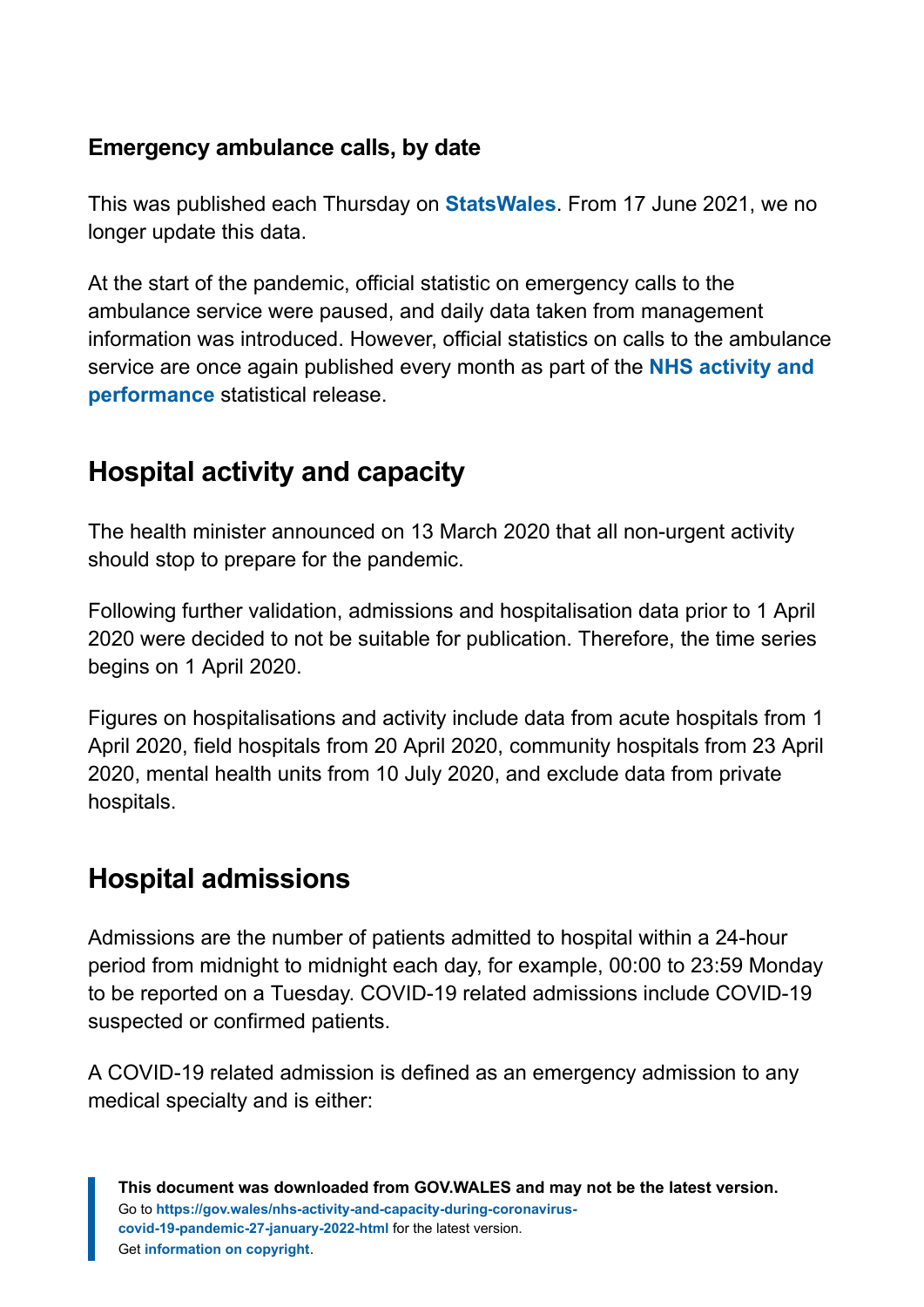#### **Emergency ambulance calls, by date**

This was published each Thursday on **[StatsWales](https://statswales.gov.wales/Catalogue/Health-and-Social-Care/NHS-Hospital-Activity/nhs-activity-and-capacity-during-the-coronavirus-pandemic/emergencyambulancecalls-by-date)**. From 17 June 2021, we no longer update this data.

At the start of the pandemic, official statistic on emergency calls to the ambulance service were paused, and daily data taken from management information was introduced. However, official statistics on calls to the ambulance service are once again published every month as part of the **[NHS activity and](https://gov.wales/nhs-activity-and-performance-summary) [performance](https://gov.wales/nhs-activity-and-performance-summary)** statistical release.

# **Hospital activity and capacity**

The health minister announced on 13 March 2020 that all non-urgent activity should stop to prepare for the pandemic.

Following further validation, admissions and hospitalisation data prior to 1 April 2020 were decided to not be suitable for publication. Therefore, the time series begins on 1 April 2020.

Figures on hospitalisations and activity include data from acute hospitals from 1 April 2020, field hospitals from 20 April 2020, community hospitals from 23 April 2020, mental health units from 10 July 2020, and exclude data from private hospitals.

# **Hospital admissions**

Admissions are the number of patients admitted to hospital within a 24-hour period from midnight to midnight each day, for example, 00:00 to 23:59 Monday to be reported on a Tuesday. COVID-19 related admissions include COVID-19 suspected or confirmed patients.

A COVID-19 related admission is defined as an emergency admission to any medical specialty and is either: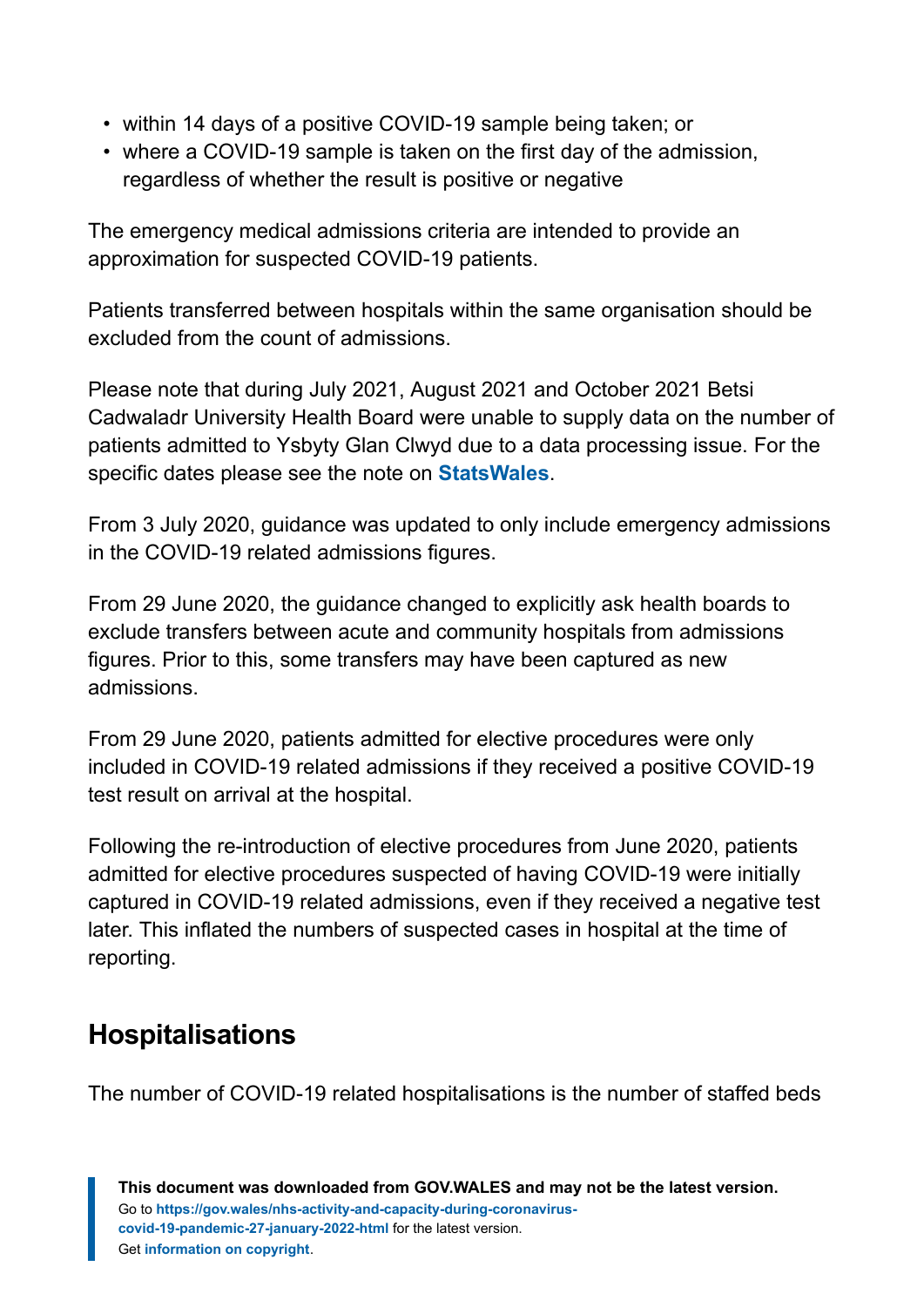- within 14 days of a positive COVID-19 sample being taken; or
- where a COVID-19 sample is taken on the first day of the admission, regardless of whether the result is positive or negative

The emergency medical admissions criteria are intended to provide an approximation for suspected COVID-19 patients.

Patients transferred between hospitals within the same organisation should be excluded from the count of admissions.

Please note that during July 2021, August 2021 and October 2021 Betsi Cadwaladr University Health Board were unable to supply data on the number of patients admitted to Ysbyty Glan Clwyd due to a data processing issue. For the specific dates please see the note on **[StatsWales](https://statswales.gov.wales/Catalogue/Health-and-Social-Care/NHS-Hospital-Activity/nhs-activity-and-capacity-during-the-coronavirus-pandemic)**.

From 3 July 2020, guidance was updated to only include emergency admissions in the COVID-19 related admissions figures.

From 29 June 2020, the guidance changed to explicitly ask health boards to exclude transfers between acute and community hospitals from admissions figures. Prior to this, some transfers may have been captured as new admissions.

From 29 June 2020, patients admitted for elective procedures were only included in COVID-19 related admissions if they received a positive COVID-19 test result on arrival at the hospital.

Following the re-introduction of elective procedures from June 2020, patients admitted for elective procedures suspected of having COVID-19 were initially captured in COVID-19 related admissions, even if they received a negative test later. This inflated the numbers of suspected cases in hospital at the time of reporting.

# **Hospitalisations**

The number of COVID-19 related hospitalisations is the number of staffed beds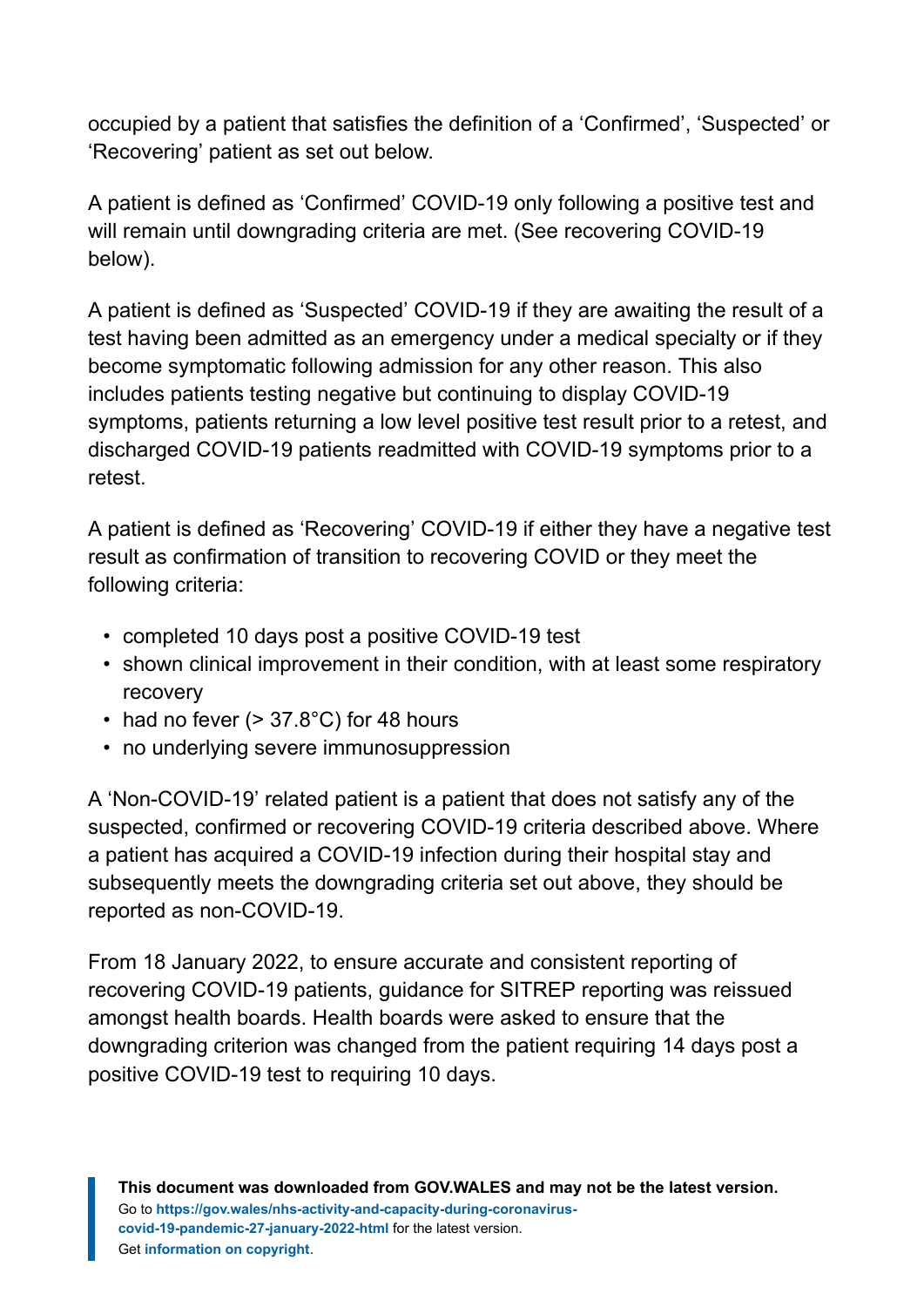occupied by a patient that satisfies the definition of a 'Confirmed', 'Suspected' or 'Recovering' patient as set out below.

A patient is defined as 'Confirmed' COVID-19 only following a positive test and will remain until downgrading criteria are met. (See recovering COVID-19 below).

A patient is defined as 'Suspected' COVID-19 if they are awaiting the result of a test having been admitted as an emergency under a medical specialty or if they become symptomatic following admission for any other reason. This also includes patients testing negative but continuing to display COVID-19 symptoms, patients returning a low level positive test result prior to a retest, and discharged COVID-19 patients readmitted with COVID-19 symptoms prior to a retest.

A patient is defined as 'Recovering' COVID-19 if either they have a negative test result as confirmation of transition to recovering COVID or they meet the following criteria:

- completed 10 days post a positive COVID-19 test
- shown clinical improvement in their condition, with at least some respiratory recovery
- had no fever  $(> 37.8^{\circ}C)$  for 48 hours
- no underlying severe immunosuppression

A 'Non-COVID-19' related patient is a patient that does not satisfy any of the suspected, confirmed or recovering COVID-19 criteria described above. Where a patient has acquired a COVID-19 infection during their hospital stay and subsequently meets the downgrading criteria set out above, they should be reported as non-COVID-19.

From 18 January 2022, to ensure accurate and consistent reporting of recovering COVID-19 patients, guidance for SITREP reporting was reissued amongst health boards. Health boards were asked to ensure that the downgrading criterion was changed from the patient requiring 14 days post a positive COVID-19 test to requiring 10 days.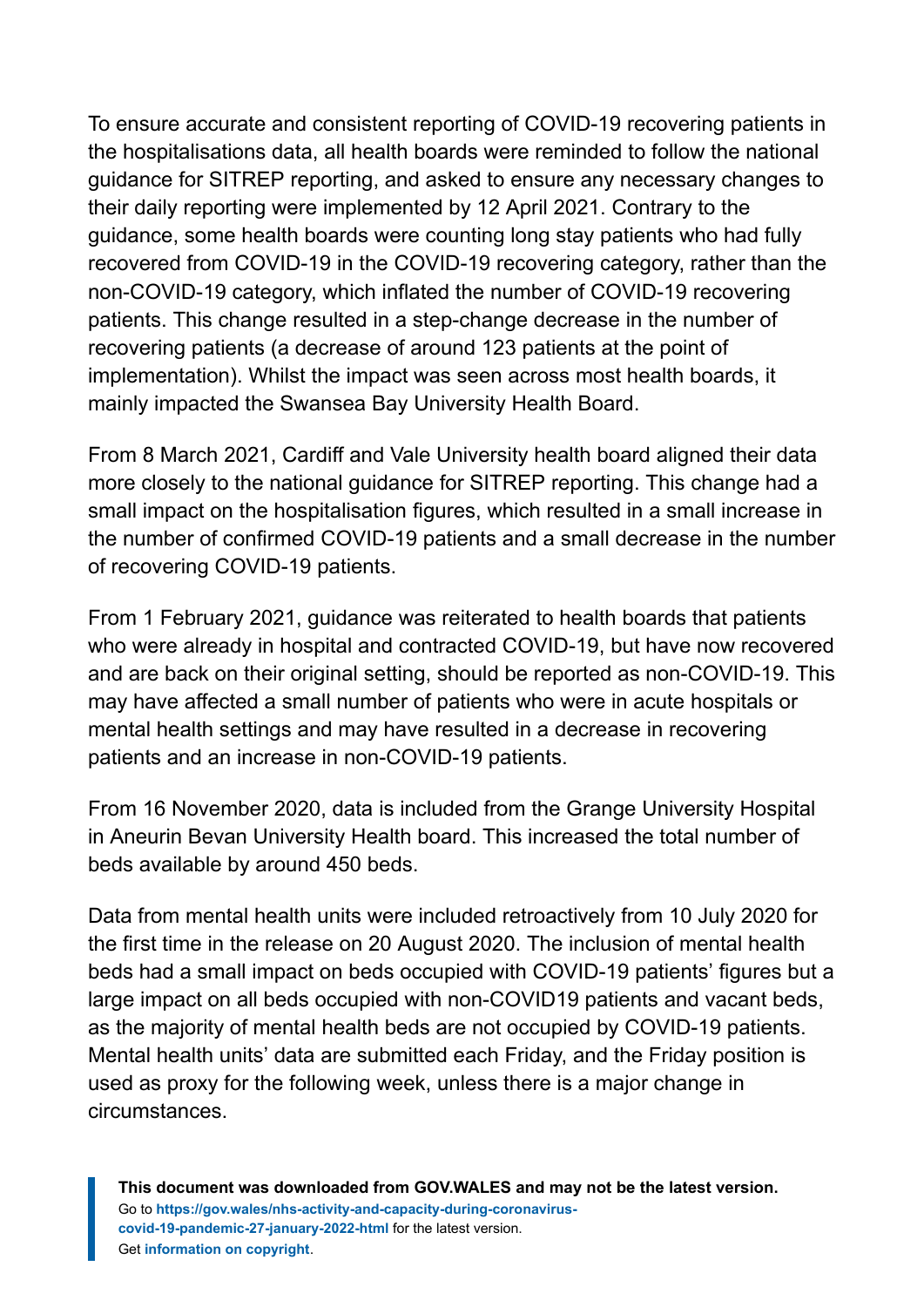To ensure accurate and consistent reporting of COVID-19 recovering patients in the hospitalisations data, all health boards were reminded to follow the national guidance for SITREP reporting, and asked to ensure any necessary changes to their daily reporting were implemented by 12 April 2021. Contrary to the guidance, some health boards were counting long stay patients who had fully recovered from COVID-19 in the COVID-19 recovering category, rather than the non-COVID-19 category, which inflated the number of COVID-19 recovering patients. This change resulted in a step-change decrease in the number of recovering patients (a decrease of around 123 patients at the point of implementation). Whilst the impact was seen across most health boards, it mainly impacted the Swansea Bay University Health Board.

From 8 March 2021, Cardiff and Vale University health board aligned their data more closely to the national guidance for SITREP reporting. This change had a small impact on the hospitalisation figures, which resulted in a small increase in the number of confirmed COVID-19 patients and a small decrease in the number of recovering COVID-19 patients.

From 1 February 2021, guidance was reiterated to health boards that patients who were already in hospital and contracted COVID-19, but have now recovered and are back on their original setting, should be reported as non-COVID-19. This may have affected a small number of patients who were in acute hospitals or mental health settings and may have resulted in a decrease in recovering patients and an increase in non-COVID-19 patients.

From 16 November 2020, data is included from the Grange University Hospital in Aneurin Bevan University Health board. This increased the total number of beds available by around 450 beds.

Data from mental health units were included retroactively from 10 July 2020 for the first time in the release on 20 August 2020. The inclusion of mental health beds had a small impact on beds occupied with COVID-19 patients' figures but a large impact on all beds occupied with non-COVID19 patients and vacant beds, as the majority of mental health beds are not occupied by COVID-19 patients. Mental health units' data are submitted each Friday, and the Friday position is used as proxy for the following week, unless there is a major change in circumstances.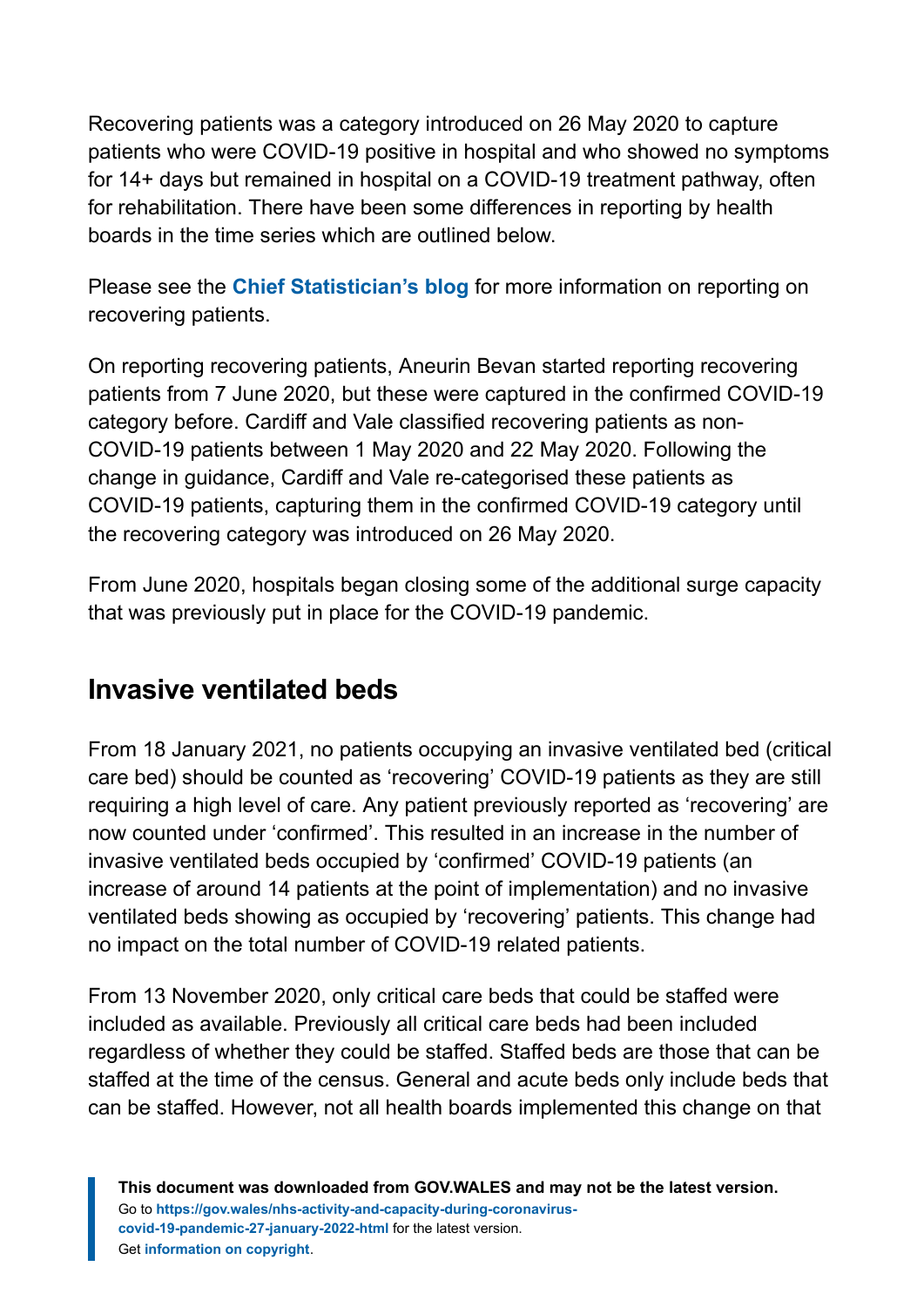Recovering patients was a category introduced on 26 May 2020 to capture patients who were COVID-19 positive in hospital and who showed no symptoms for 14+ days but remained in hospital on a COVID-19 treatment pathway, often for rehabilitation. There have been some differences in reporting by health boards in the time series which are outlined below.

Please see the **[Chief Statistician's blog](https://digitalanddata.blog.gov.wales/2020/06/04/chief-statisticians-update-measuring-people-in-hospital-and-some-thoughts-on-data-quality/)** for more information on reporting on recovering patients.

On reporting recovering patients, Aneurin Bevan started reporting recovering patients from 7 June 2020, but these were captured in the confirmed COVID-19 category before. Cardiff and Vale classified recovering patients as non-COVID-19 patients between 1 May 2020 and 22 May 2020. Following the change in guidance, Cardiff and Vale re-categorised these patients as COVID-19 patients, capturing them in the confirmed COVID-19 category until the recovering category was introduced on 26 May 2020.

From June 2020, hospitals began closing some of the additional surge capacity that was previously put in place for the COVID-19 pandemic.

### **Invasive ventilated beds**

From 18 January 2021, no patients occupying an invasive ventilated bed (critical care bed) should be counted as 'recovering' COVID-19 patients as they are still requiring a high level of care. Any patient previously reported as 'recovering' are now counted under 'confirmed'. This resulted in an increase in the number of invasive ventilated beds occupied by 'confirmed' COVID-19 patients (an increase of around 14 patients at the point of implementation) and no invasive ventilated beds showing as occupied by 'recovering' patients. This change had no impact on the total number of COVID-19 related patients.

From 13 November 2020, only critical care beds that could be staffed were included as available. Previously all critical care beds had been included regardless of whether they could be staffed. Staffed beds are those that can be staffed at the time of the census. General and acute beds only include beds that can be staffed. However, not all health boards implemented this change on that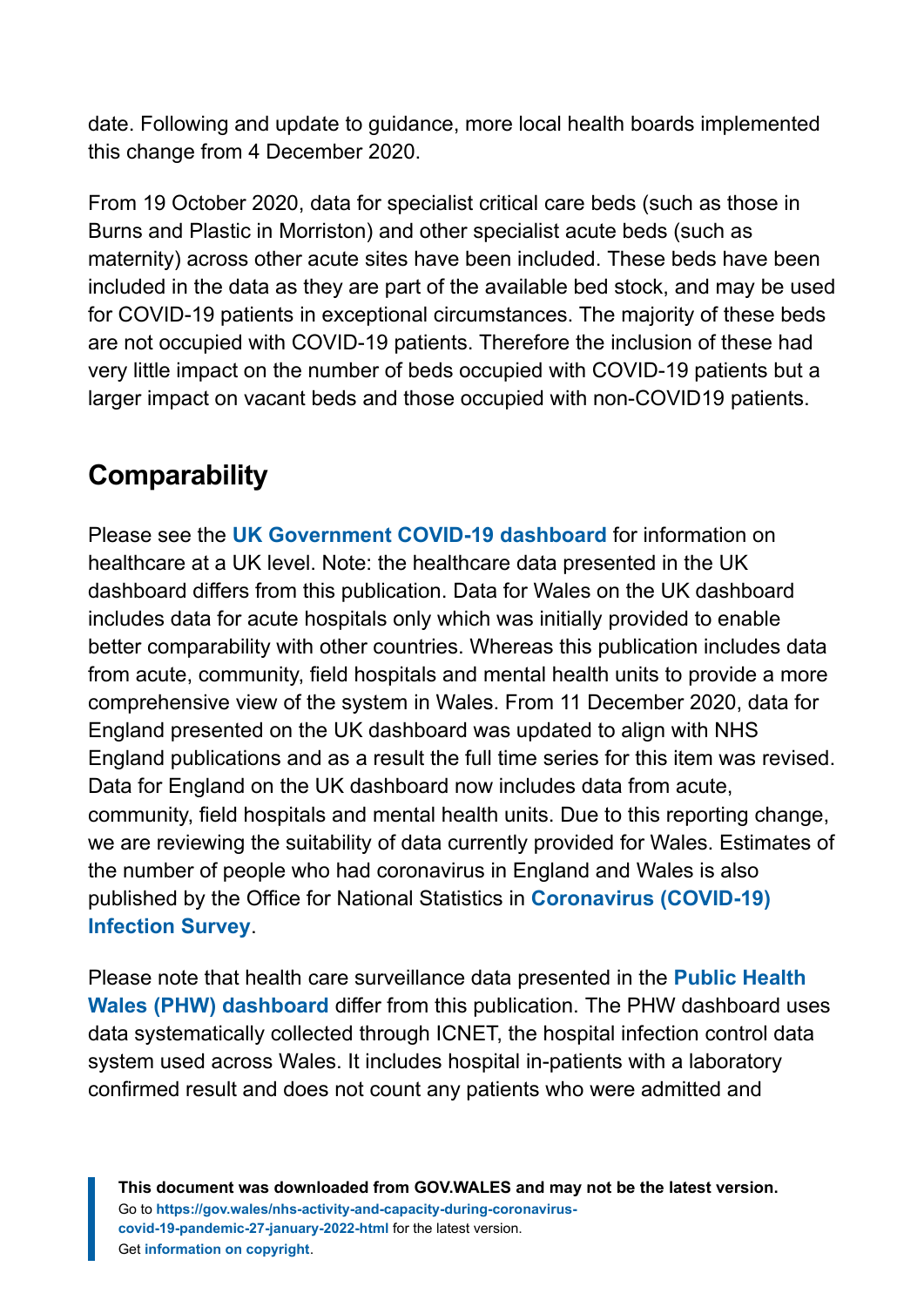date. Following and update to guidance, more local health boards implemented this change from 4 December 2020.

From 19 October 2020, data for specialist critical care beds (such as those in Burns and Plastic in Morriston) and other specialist acute beds (such as maternity) across other acute sites have been included. These beds have been included in the data as they are part of the available bed stock, and may be used for COVID-19 patients in exceptional circumstances. The majority of these beds are not occupied with COVID-19 patients. Therefore the inclusion of these had very little impact on the number of beds occupied with COVID-19 patients but a larger impact on vacant beds and those occupied with non-COVID19 patients.

# **Comparability**

Please see the **[UK Government COVID-19 dashboard](https://coronavirus.data.gov.uk/)** for information on healthcare at a UK level. Note: the healthcare data presented in the UK dashboard differs from this publication. Data for Wales on the UK dashboard includes data for acute hospitals only which was initially provided to enable better comparability with other countries. Whereas this publication includes data from acute, community, field hospitals and mental health units to provide a more comprehensive view of the system in Wales. From 11 December 2020, data for England presented on the UK dashboard was updated to align with NHS England publications and as a result the full time series for this item was revised. Data for England on the UK dashboard now includes data from acute, community, field hospitals and mental health units. Due to this reporting change, we are reviewing the suitability of data currently provided for Wales. Estimates of the number of people who had coronavirus in England and Wales is also published by the Office for National Statistics in **[Coronavirus \(COVID-19\)](https://www.ons.gov.uk/peoplepopulationandcommunity/healthandsocialcare/conditionsanddiseases/bulletins/coronaviruscovid19infectionsurveypilot/previousReleases) [Infection Survey](https://www.ons.gov.uk/peoplepopulationandcommunity/healthandsocialcare/conditionsanddiseases/bulletins/coronaviruscovid19infectionsurveypilot/previousReleases)**.

Please note that health care surveillance data presented in the **[Public Health](https://public.tableau.com/profile/public.health.wales.health.protection#!/vizhome/RapidCOVID-19virology-Public/Headlinesummary) [Wales \(PHW\) dashboard](https://public.tableau.com/profile/public.health.wales.health.protection#!/vizhome/RapidCOVID-19virology-Public/Headlinesummary)** differ from this publication. The PHW dashboard uses data systematically collected through ICNET, the hospital infection control data system used across Wales. It includes hospital in-patients with a laboratory confirmed result and does not count any patients who were admitted and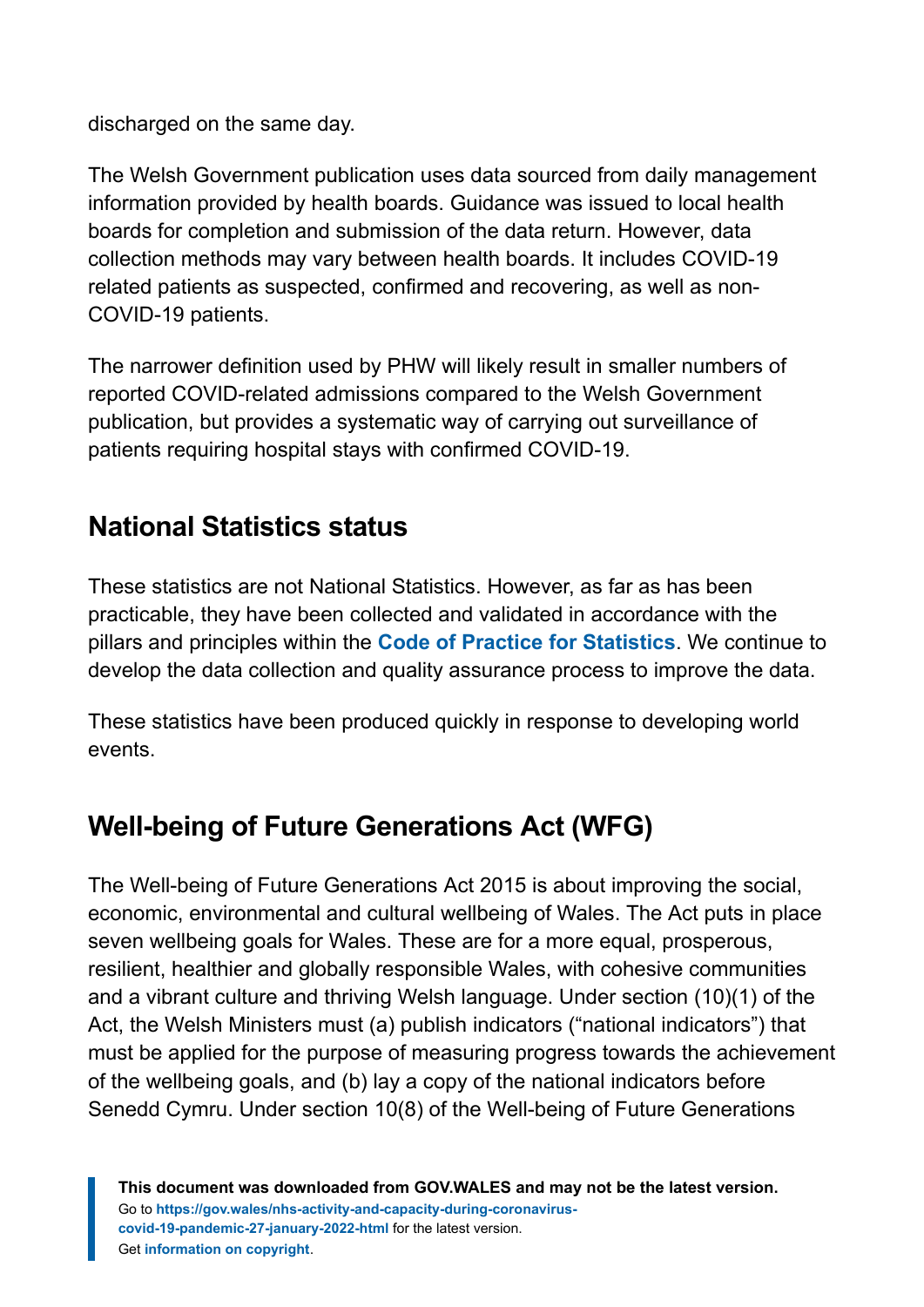discharged on the same day.

The Welsh Government publication uses data sourced from daily management information provided by health boards. Guidance was issued to local health boards for completion and submission of the data return. However, data collection methods may vary between health boards. It includes COVID-19 related patients as suspected, confirmed and recovering, as well as non-COVID-19 patients.

The narrower definition used by PHW will likely result in smaller numbers of reported COVID-related admissions compared to the Welsh Government publication, but provides a systematic way of carrying out surveillance of patients requiring hospital stays with confirmed COVID-19.

# **National Statistics status**

These statistics are not National Statistics. However, as far as has been practicable, they have been collected and validated in accordance with the pillars and principles within the **[Code of Practice for Statistics](https://code.statisticsauthority.gov.uk/)**. We continue to develop the data collection and quality assurance process to improve the data.

These statistics have been produced quickly in response to developing world events.

# **Well-being of Future Generations Act (WFG)**

The Well-being of Future Generations Act 2015 is about improving the social, economic, environmental and cultural wellbeing of Wales. The Act puts in place seven wellbeing goals for Wales. These are for a more equal, prosperous, resilient, healthier and globally responsible Wales, with cohesive communities and a vibrant culture and thriving Welsh language. Under section (10)(1) of the Act, the Welsh Ministers must (a) publish indicators ("national indicators") that must be applied for the purpose of measuring progress towards the achievement of the wellbeing goals, and (b) lay a copy of the national indicators before Senedd Cymru. Under section 10(8) of the Well-being of Future Generations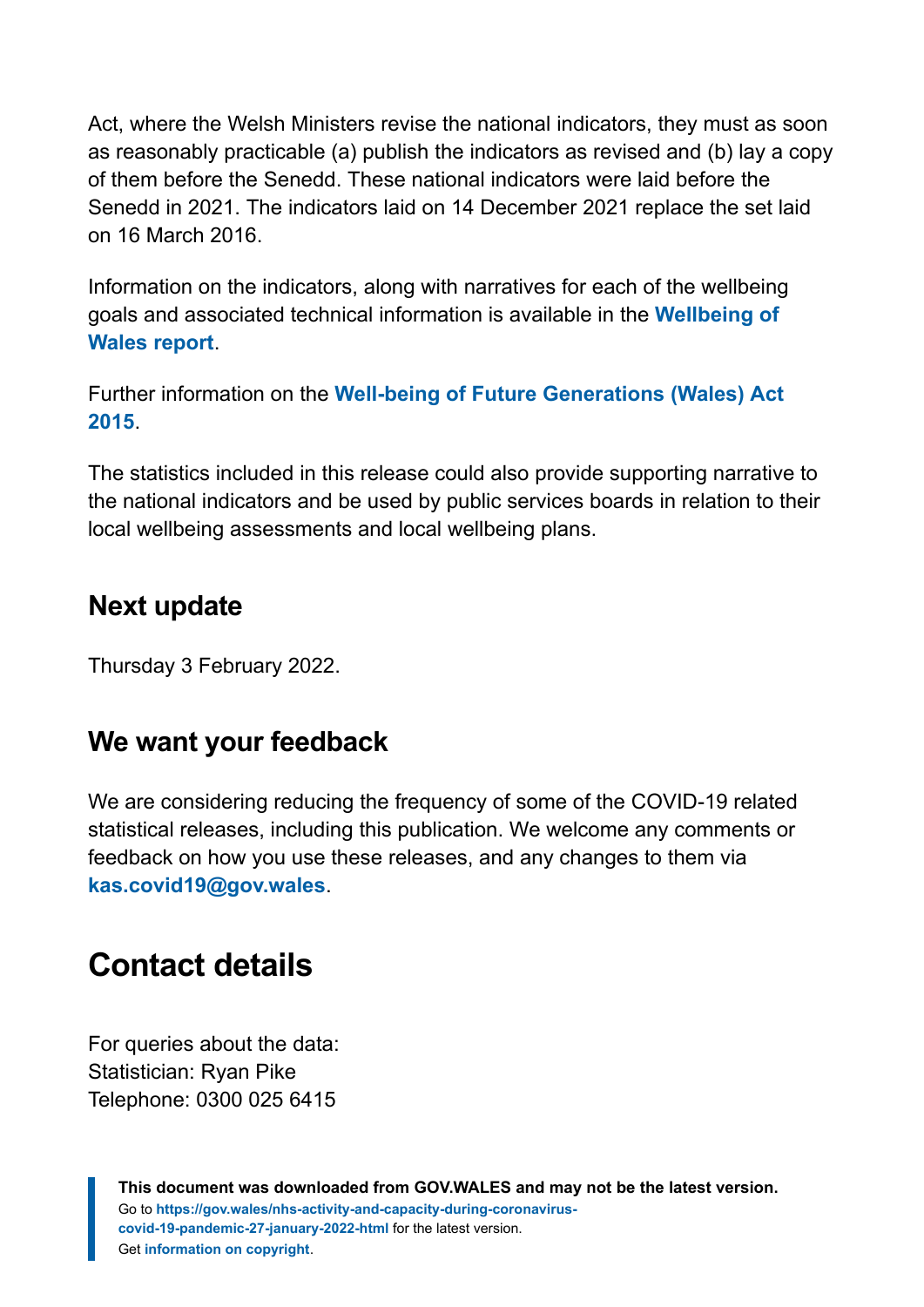Act, where the Welsh Ministers revise the national indicators, they must as soon as reasonably practicable (a) publish the indicators as revised and (b) lay a copy of them before the Senedd. These national indicators were laid before the Senedd in 2021. The indicators laid on 14 December 2021 replace the set laid on 16 March 2016.

Information on the indicators, along with narratives for each of the wellbeing goals and associated technical information is available in the **[Wellbeing of](https://gov.wales/wellbeing-wales) [Wales report](https://gov.wales/wellbeing-wales)**.

Further information on the **[Well-being of Future Generations \(Wales\) Act](https://gov.wales/well-being-future-generations-wales-act-2015-guidance) [2015](https://gov.wales/well-being-future-generations-wales-act-2015-guidance)**.

The statistics included in this release could also provide supporting narrative to the national indicators and be used by public services boards in relation to their local wellbeing assessments and local wellbeing plans.

### **Next update**

Thursday 3 February 2022.

### **We want your feedback**

We are considering reducing the frequency of some of the COVID-19 related statistical releases, including this publication. We welcome any comments or feedback on how you use these releases, and any changes to them via **[kas.covid19@gov.wales](mailto:kas.covid19@gov.wales)**.

# <span id="page-19-0"></span>**Contact details**

For queries about the data: Statistician: Ryan Pike Telephone: 0300 025 6415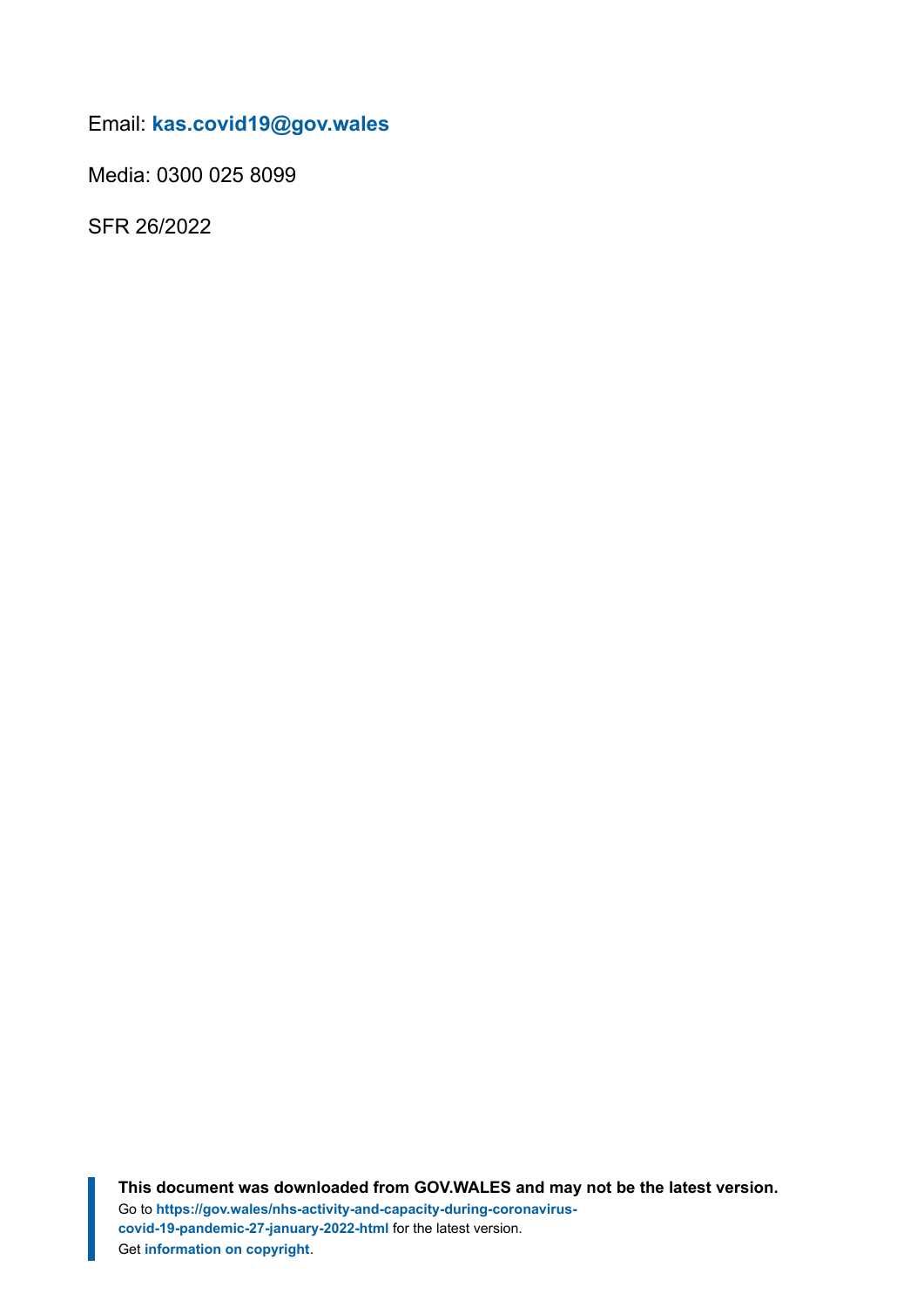Email: **[kas.covid19@gov.wales](mailto:kas.covid19@gov.wales)**

Media: 0300 025 8099

SFR 26/2022